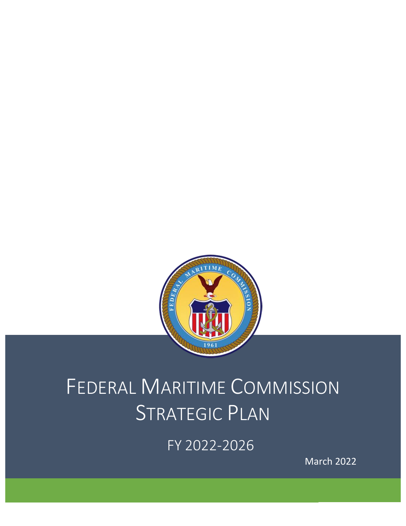

# FEDERAL MARITIME COMMISSION STRATEGIC PLAN

FY 2022-2026

March 2022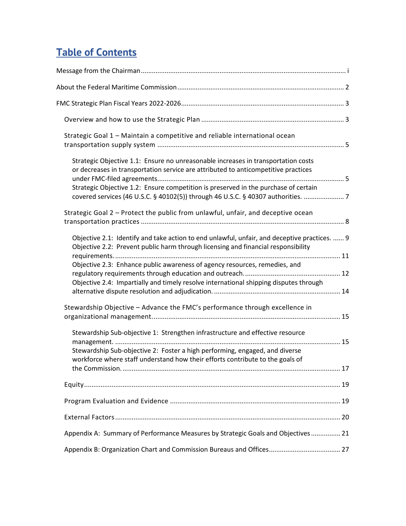## **Table of Contents**

| Strategic Goal 1 - Maintain a competitive and reliable international ocean                                                                                                        |
|-----------------------------------------------------------------------------------------------------------------------------------------------------------------------------------|
| Strategic Objective 1.1: Ensure no unreasonable increases in transportation costs<br>or decreases in transportation service are attributed to anticompetitive practices           |
| Strategic Objective 1.2: Ensure competition is preserved in the purchase of certain                                                                                               |
| Strategic Goal 2 - Protect the public from unlawful, unfair, and deceptive ocean                                                                                                  |
| Objective 2.1: Identify and take action to end unlawful, unfair, and deceptive practices.  9<br>Objective 2.2: Prevent public harm through licensing and financial responsibility |
| Objective 2.3: Enhance public awareness of agency resources, remedies, and                                                                                                        |
| Objective 2.4: Impartially and timely resolve international shipping disputes through                                                                                             |
| Stewardship Objective - Advance the FMC's performance through excellence in                                                                                                       |
| Stewardship Sub-objective 1: Strengthen infrastructure and effective resource                                                                                                     |
| Stewardship Sub-objective 2: Foster a high performing, engaged, and diverse<br>workforce where staff understand how their efforts contribute to the goals of                      |
|                                                                                                                                                                                   |
|                                                                                                                                                                                   |
|                                                                                                                                                                                   |
|                                                                                                                                                                                   |
| Appendix A: Summary of Performance Measures by Strategic Goals and Objectives 21                                                                                                  |
| Appendix B: Organization Chart and Commission Bureaus and Offices 27                                                                                                              |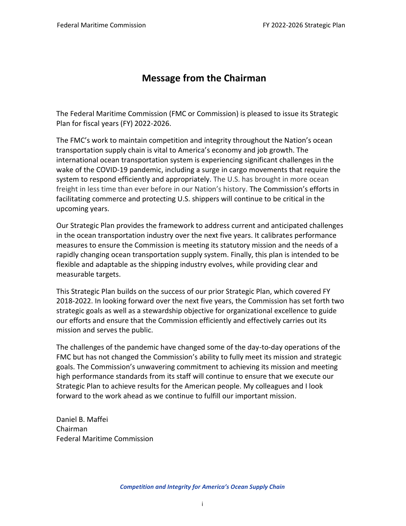## **Message from the Chairman**

<span id="page-2-0"></span>The Federal Maritime Commission (FMC or Commission) is pleased to issue its Strategic Plan for fiscal years (FY) 2022-2026.

The FMC's work to maintain competition and integrity throughout the Nation's ocean transportation supply chain is vital to America's economy and job growth. The international ocean transportation system is experiencing significant challenges in the wake of the COVID-19 pandemic, including a surge in cargo movements that require the system to respond efficiently and appropriately. The U.S. has brought in more ocean freight in less time than ever before in our Nation's history. The Commission's efforts in facilitating commerce and protecting U.S. shippers will continue to be critical in the upcoming years.

Our Strategic Plan provides the framework to address current and anticipated challenges in the ocean transportation industry over the next five years. It calibrates performance measures to ensure the Commission is meeting its statutory mission and the needs of a rapidly changing ocean transportation supply system. Finally, this plan is intended to be flexible and adaptable as the shipping industry evolves, while providing clear and measurable targets.

This Strategic Plan builds on the success of our prior Strategic Plan, which covered FY 2018-2022. In looking forward over the next five years, the Commission has set forth two strategic goals as well as a stewardship objective for organizational excellence to guide our efforts and ensure that the Commission efficiently and effectively carries out its mission and serves the public.

The challenges of the pandemic have changed some of the day-to-day operations of the FMC but has not changed the Commission's ability to fully meet its mission and strategic goals. The Commission's unwavering commitment to achieving its mission and meeting high performance standards from its staff will continue to ensure that we execute our Strategic Plan to achieve results for the American people. My colleagues and I look forward to the work ahead as we continue to fulfill our important mission.

Daniel B. Maffei Chairman Federal Maritime Commission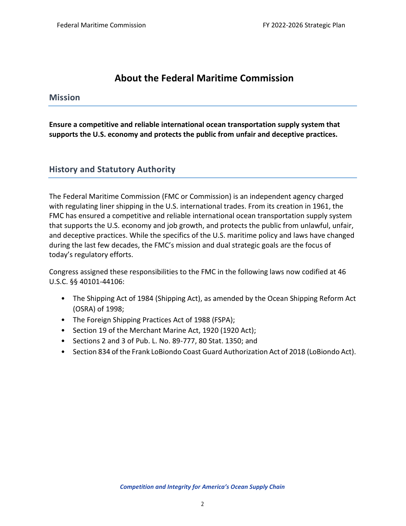## **About the Federal Maritime Commission**

## <span id="page-3-0"></span>**Mission**

**Ensure a competitive and reliable international ocean transportation supply system that supports the U.S. economy and protects the public from unfair and deceptive practices.**

## **History and Statutory Authority**

The Federal Maritime Commission (FMC or Commission) is an independent agency charged with regulating liner shipping in the U.S. international trades. From its creation in 1961, the FMC has ensured a competitive and reliable international ocean transportation supply system that supports the U.S. economy and job growth, and protects the public from unlawful, unfair, and deceptive practices. While the specifics of the U.S. maritime policy and laws have changed during the last few decades, the FMC's mission and dual strategic goals are the focus of today's regulatory efforts.

Congress assigned these responsibilities to the FMC in the following laws now codified at 46 U.S.C. §§ 40101-44106:

- The Shipping Act of 1984 (Shipping Act), as amended by the Ocean Shipping Reform Act (OSRA) of 1998;
- The Foreign Shipping Practices Act of 1988 (FSPA);
- Section 19 of the Merchant Marine Act, 1920 (1920 Act);
- Sections 2 and 3 of Pub. L. No. 89-777, 80 Stat. 1350; and
- Section 834 of the Frank LoBiondo Coast Guard Authorization Act of 2018 (LoBiondo Act).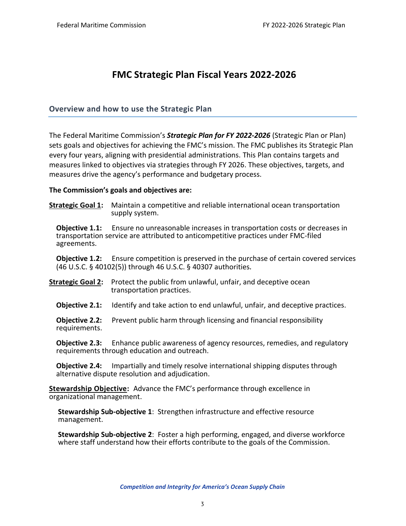## **FMC Strategic Plan Fiscal Years 2022-2026**

## <span id="page-4-1"></span><span id="page-4-0"></span>**Overview and how to use the Strategic Plan**

The Federal Maritime Commission's *Strategic Plan for FY 2022-2026* (Strategic Plan or Plan) sets goals and objectives for achieving the FMC's mission. The FMC publishes its Strategic Plan every four years, aligning with presidential administrations. This Plan contains targets and measures linked to objectives via strategies through FY 2026. These objectives, targets, and measures drive the agency's performance and budgetary process.

#### **The Commission's goals and objectives are:**

**Strategic Goal 1:** Maintain a competitive and reliable international ocean transportation supply system.

**Objective 1.1:** Ensure no unreasonable increases in transportation costs or decreases in transportation service are attributed to anticompetitive practices under FMC-filed agreements.

**Objective 1.2:** Ensure competition is preserved in the purchase of certain covered services (46 U.S.C. § 40102(5)) through 46 U.S.C. § 40307 authorities*.*

- **Strategic Goal 2:** Protect the public from unlawful, unfair, and deceptive ocean transportation practices.
	- **Objective 2.1:** Identify and take action to end unlawful, unfair, and deceptive practices.

**Objective 2.2:** Prevent public harm through licensing and financial responsibility requirements.

**Objective 2.3:** Enhance public awareness of agency resources, remedies, and regulatory requirements through education and outreach.

**Objective 2.4:** Impartially and timely resolve international shipping disputes through alternative dispute resolution and adjudication.

**Stewardship Objective:** Advance the FMC's performance through excellence in organizational management.

**Stewardship Sub-objective 1**: Strengthen infrastructure and effective resource management.

**Stewardship Sub-objective 2**: Foster a high performing, engaged, and diverse workforce where staff understand how their efforts contribute to the goals of the Commission.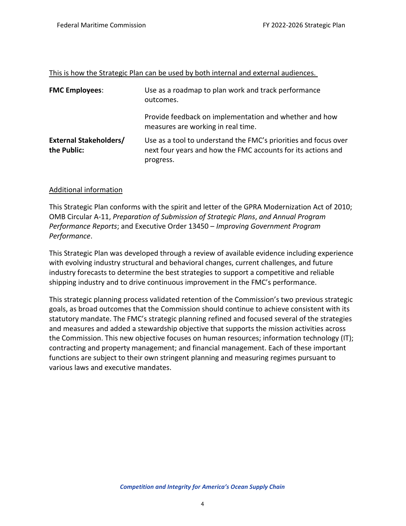| This is how the Strategic Plan can be used by both internal and external audiences. |
|-------------------------------------------------------------------------------------|
|-------------------------------------------------------------------------------------|

| <b>FMC Employees:</b>                        | Use as a roadmap to plan work and track performance<br>outcomes.                                                                             |
|----------------------------------------------|----------------------------------------------------------------------------------------------------------------------------------------------|
|                                              | Provide feedback on implementation and whether and how<br>measures are working in real time.                                                 |
| <b>External Stakeholders/</b><br>the Public: | Use as a tool to understand the FMC's priorities and focus over<br>next four years and how the FMC accounts for its actions and<br>progress. |

#### Additional information

This Strategic Plan conforms with the spirit and letter of the GPRA Modernization Act of 2010; OMB Circular A-11, *Preparation of Submission of Strategic Plans*, *and Annual Program Performance Reports*; and Executive Order 13450 – *Improving Government Program Performance*.

This Strategic Plan was developed through a review of available evidence including experience with evolving industry structural and behavioral changes, current challenges, and future industry forecasts to determine the best strategies to support a competitive and reliable shipping industry and to drive continuous improvement in the FMC's performance.

This strategic planning process validated retention of the Commission's two previous strategic goals, as broad outcomes that the Commission should continue to achieve consistent with its statutory mandate. The FMC's strategic planning refined and focused several of the strategies and measures and added a stewardship objective that supports the mission activities across the Commission. This new objective focuses on human resources; information technology (IT); contracting and property management; and financial management. Each of these important functions are subject to their own stringent planning and measuring regimes pursuant to various laws and executive mandates.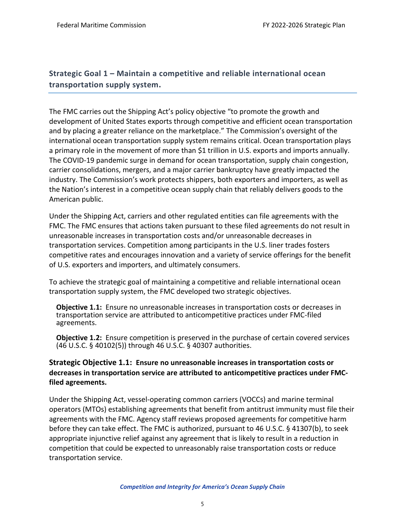## <span id="page-6-0"></span>**Strategic Goal 1 – Maintain a competitive and reliable international ocean transportation supply system.**

The FMC carries out the Shipping Act's policy objective "to promote the growth and development of United States exports through competitive and efficient ocean transportation and by placing a greater reliance on the marketplace." The Commission's oversight of the international ocean transportation supply system remains critical. Ocean transportation plays a primary role in the movement of more than \$1 trillion in U.S. exports and imports annually. The COVID-19 pandemic surge in demand for ocean transportation, supply chain congestion, carrier consolidations, mergers, and a major carrier bankruptcy have greatly impacted the industry. The Commission's work protects shippers, both exporters and importers, as well as the Nation's interest in a competitive ocean supply chain that reliably delivers goods to the American public.

Under the Shipping Act, carriers and other regulated entities can file agreements with the FMC. The FMC ensures that actions taken pursuant to these filed agreements do not result in unreasonable increases in transportation costs and/or unreasonable decreases in transportation services. Competition among participants in the U.S. liner trades fosters competitive rates and encourages innovation and a variety of service offerings for the benefit of U.S. exporters and importers, and ultimately consumers.

To achieve the strategic goal of maintaining a competitive and reliable international ocean transportation supply system, the FMC developed two strategic objectives.

**Objective 1.1:** Ensure no unreasonable increases in transportation costs or decreases in transportation service are attributed to anticompetitive practices under FMC-filed agreements.

**Objective 1.2:** Ensure competition is preserved in the purchase of certain covered services (46 U.S.C. § 40102(5)) through 46 U.S.C. § 40307 authorities.

## <span id="page-6-1"></span>**Strategic Objective 1.1: Ensure no unreasonable increases in transportation costs or decreases in transportation service are attributed to anticompetitive practices under FMCfiled agreements.**

Under the Shipping Act, vessel-operating common carriers (VOCCs) and marine terminal operators (MTOs) establishing agreements that benefit from antitrust immunity must file their agreements with the FMC. Agency staff reviews proposed agreements for competitive harm before they can take effect. The FMC is authorized, pursuant to 46 U.S.C. § 41307(b), to seek appropriate injunctive relief against any agreement that is likely to result in a reduction in competition that could be expected to unreasonably raise transportation costs or reduce transportation service.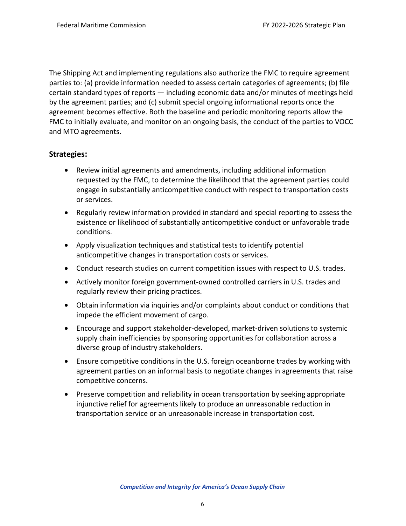The Shipping Act and implementing regulations also authorize the FMC to require agreement parties to: (a) provide information needed to assess certain categories of agreements; (b) file certain standard types of reports — including economic data and/or minutes of meetings held by the agreement parties; and (c) submit special ongoing informational reports once the agreement becomes effective. Both the baseline and periodic monitoring reports allow the FMC to initially evaluate, and monitor on an ongoing basis, the conduct of the parties to VOCC and MTO agreements.

## **Strategies:**

- Review initial agreements and amendments, including additional information requested by the FMC, to determine the likelihood that the agreement parties could engage in substantially anticompetitive conduct with respect to transportation costs or services.
- Regularly review information provided in standard and special reporting to assess the existence or likelihood of substantially anticompetitive conduct or unfavorable trade conditions.
- Apply visualization techniques and statistical tests to identify potential anticompetitive changes in transportation costs or services.
- Conduct research studies on current competition issues with respect to U.S. trades.
- Actively monitor foreign government-owned controlled carriers in U.S. trades and regularly review their pricing practices.
- Obtain information via inquiries and/or complaints about conduct or conditions that impede the efficient movement of cargo.
- Encourage and support stakeholder-developed, market-driven solutions to systemic supply chain inefficiencies by sponsoring opportunities for collaboration across a diverse group of industry stakeholders.
- Ensure competitive conditions in the U.S. foreign oceanborne trades by working with agreement parties on an informal basis to negotiate changes in agreements that raise competitive concerns.
- Preserve competition and reliability in ocean transportation by seeking appropriate injunctive relief for agreements likely to produce an unreasonable reduction in transportation service or an unreasonable increase in transportation cost.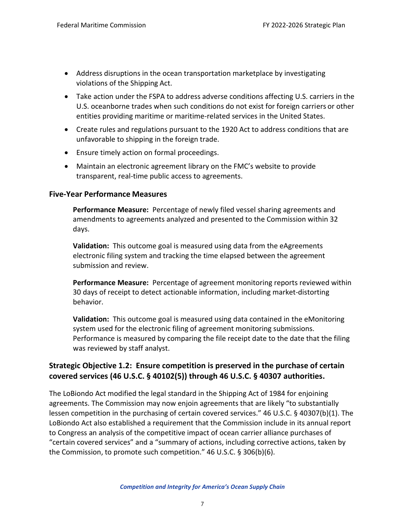- Address disruptions in the ocean transportation marketplace by investigating violations of the Shipping Act.
- Take action under the FSPA to address adverse conditions affecting U.S. carriers in the U.S. oceanborne trades when such conditions do not exist for foreign carriers or other entities providing maritime or maritime-related services in the United States.
- Create rules and regulations pursuant to the 1920 Act to address conditions that are unfavorable to shipping in the foreign trade.
- Ensure timely action on formal proceedings.
- Maintain an electronic agreement library on the FMC's website to provide transparent, real-time public access to agreements.

## **Five-Year Performance Measures**

**Performance Measure:** Percentage of newly filed vessel sharing agreements and amendments to agreements analyzed and presented to the Commission within 32 days.

**Validation:** This outcome goal is measured using data from the eAgreements electronic filing system and tracking the time elapsed between the agreement submission and review.

**Performance Measure:** Percentage of agreement monitoring reports reviewed within 30 days of receipt to detect actionable information, including market-distorting behavior.

**Validation:** This outcome goal is measured using data contained in the eMonitoring system used for the electronic filing of agreement monitoring submissions. Performance is measured by comparing the file receipt date to the date that the filing was reviewed by staff analyst.

## <span id="page-8-0"></span>**Strategic Objective 1.2: Ensure competition is preserved in the purchase of certain covered services (46 U.S.C. § 40102(5)) through 46 U.S.C. § 40307 authorities.**

The LoBiondo Act modified the legal standard in the Shipping Act of 1984 for enjoining agreements. The Commission may now enjoin agreements that are likely "to substantially lessen competition in the purchasing of certain covered services." 46 U.S.C. § 40307(b)(1). The LoBiondo Act also established a requirement that the Commission include in its annual report to Congress an analysis of the competitive impact of ocean carrier alliance purchases of "certain covered services" and a "summary of actions, including corrective actions, taken by the Commission, to promote such competition." 46 U.S.C. § 306(b)(6).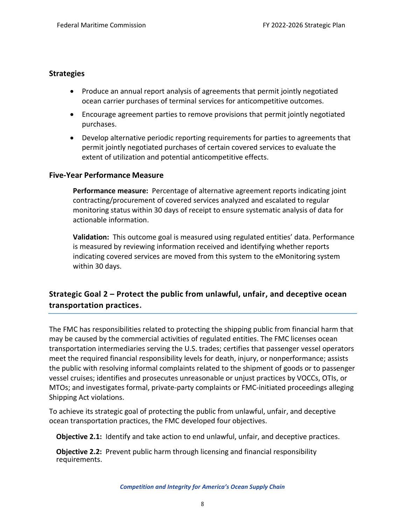## **Strategies**

- Produce an annual report analysis of agreements that permit jointly negotiated ocean carrier purchases of terminal services for anticompetitive outcomes.
- Encourage agreement parties to remove provisions that permit jointly negotiated purchases.
- Develop alternative periodic reporting requirements for parties to agreements that permit jointly negotiated purchases of certain covered services to evaluate the extent of utilization and potential anticompetitive effects.

## **Five-Year Performance Measure**

**Performance measure:** Percentage of alternative agreement reports indicating joint contracting/procurement of covered services analyzed and escalated to regular monitoring status within 30 days of receipt to ensure systematic analysis of data for actionable information.

**Validation:** This outcome goal is measured using regulated entities' data. Performance is measured by reviewing information received and identifying whether reports indicating covered services are moved from this system to the eMonitoring system within 30 days.

## <span id="page-9-0"></span>**Strategic Goal 2 – Protect the public from unlawful, unfair, and deceptive ocean transportation practices.**

The FMC has responsibilities related to protecting the shipping public from financial harm that may be caused by the commercial activities of regulated entities. The FMC licenses ocean transportation intermediaries serving the U.S. trades; certifies that passenger vessel operators meet the required financial responsibility levels for death, injury, or nonperformance; assists the public with resolving informal complaints related to the shipment of goods or to passenger vessel cruises; identifies and prosecutes unreasonable or unjust practices by VOCCs, OTIs, or MTOs; and investigates formal, private-party complaints or FMC-initiated proceedings alleging Shipping Act violations.

To achieve its strategic goal of protecting the public from unlawful, unfair, and deceptive ocean transportation practices, the FMC developed four objectives.

**Objective 2.1:** Identify and take action to end unlawful, unfair, and deceptive practices.

**Objective 2.2:** Prevent public harm through licensing and financial responsibility requirements.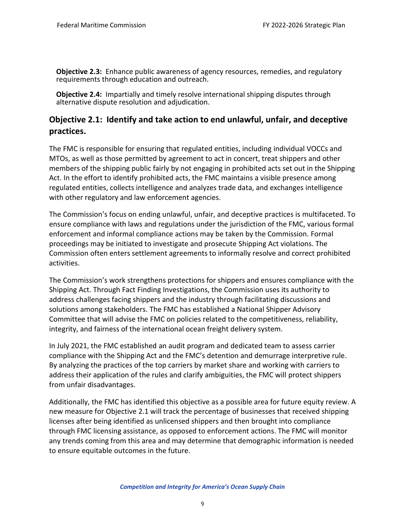**Objective 2.3:** Enhance public awareness of agency resources, remedies, and regulatory requirements through education and outreach.

**Objective 2.4:** Impartially and timely resolve international shipping disputes through alternative dispute resolution and adjudication.

## <span id="page-10-0"></span>**Objective 2.1: Identify and take action to end unlawful, unfair, and deceptive practices.**

The FMC is responsible for ensuring that regulated entities, including individual VOCCs and MTOs, as well as those permitted by agreement to act in concert, treat shippers and other members of the shipping public fairly by not engaging in prohibited acts set out in the Shipping Act. In the effort to identify prohibited acts, the FMC maintains a visible presence among regulated entities, collects intelligence and analyzes trade data, and exchanges intelligence with other regulatory and law enforcement agencies.

The Commission's focus on ending unlawful, unfair, and deceptive practices is multifaceted. To ensure compliance with laws and regulations under the jurisdiction of the FMC, various formal enforcement and informal compliance actions may be taken by the Commission. Formal proceedings may be initiated to investigate and prosecute Shipping Act violations. The Commission often enters settlement agreements to informally resolve and correct prohibited activities.

The Commission's work strengthens protections for shippers and ensures compliance with the Shipping Act. Through Fact Finding Investigations, the Commission uses its authority to address challenges facing shippers and the industry through facilitating discussions and solutions among stakeholders. The FMC has established a National Shipper Advisory Committee that will advise the FMC on policies related to the competitiveness, reliability, integrity, and fairness of the international ocean freight delivery system.

In July 2021, the FMC established an audit program and dedicated team to assess carrier compliance with the Shipping Act and the FMC's detention and demurrage interpretive rule. By analyzing the practices of the top carriers by market share and working with carriers to address their application of the rules and clarify ambiguities, the FMC will protect shippers from unfair disadvantages.

Additionally, the FMC has identified this objective as a possible area for future equity review. A new measure for Objective 2.1 will track the percentage of businesses that received shipping licenses after being identified as unlicensed shippers and then brought into compliance through FMC licensing assistance, as opposed to enforcement actions. The FMC will monitor any trends coming from this area and may determine that demographic information is needed to ensure equitable outcomes in the future.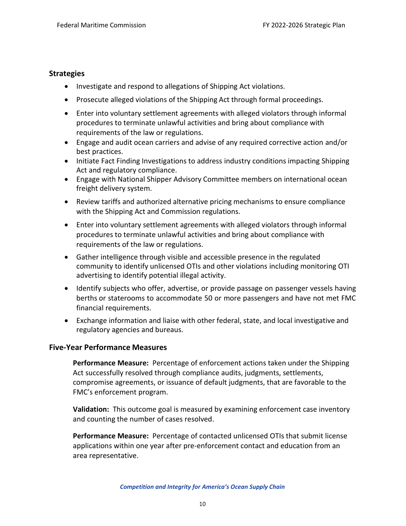#### **Strategies**

- Investigate and respond to allegations of Shipping Act violations.
- Prosecute alleged violations of the Shipping Act through formal proceedings.
- Enter into voluntary settlement agreements with alleged violators through informal procedures to terminate unlawful activities and bring about compliance with requirements of the law or regulations.
- Engage and audit ocean carriers and advise of any required corrective action and/or best practices.
- Initiate Fact Finding Investigations to address industry conditions impacting Shipping Act and regulatory compliance.
- Engage with National Shipper Advisory Committee members on international ocean freight delivery system.
- Review tariffs and authorized alternative pricing mechanisms to ensure compliance with the Shipping Act and Commission regulations.
- Enter into voluntary settlement agreements with alleged violators through informal procedures to terminate unlawful activities and bring about compliance with requirements of the law or regulations.
- Gather intelligence through visible and accessible presence in the regulated community to identify unlicensed OTIs and other violations including monitoring OTI advertising to identify potential illegal activity.
- Identify subjects who offer, advertise, or provide passage on passenger vessels having berths or staterooms to accommodate 50 or more passengers and have not met FMC financial requirements.
- Exchange information and liaise with other federal, state, and local investigative and regulatory agencies and bureaus.

#### **Five-Year Performance Measures**

**Performance Measure:** Percentage of enforcement actions taken under the Shipping Act successfully resolved through compliance audits, judgments, settlements, compromise agreements, or issuance of default judgments, that are favorable to the FMC's enforcement program.

**Validation:** This outcome goal is measured by examining enforcement case inventory and counting the number of cases resolved.

**Performance Measure:** Percentage of contacted unlicensed OTIs that submit license applications within one year after pre-enforcement contact and education from an area representative.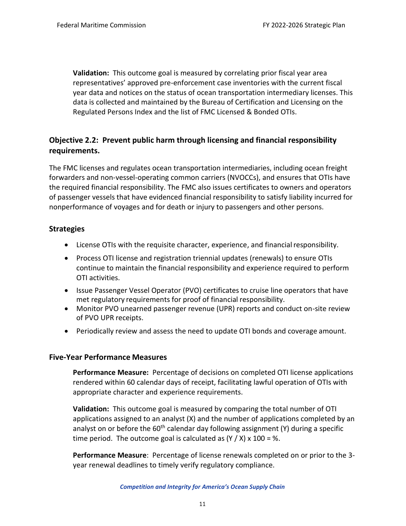**Validation:** This outcome goal is measured by correlating prior fiscal year area representatives' approved pre-enforcement case inventories with the current fiscal year data and notices on the status of ocean transportation intermediary licenses. This data is collected and maintained by the Bureau of Certification and Licensing on the Regulated Persons Index and the list of FMC Licensed & Bonded OTIs.

## <span id="page-12-0"></span>**Objective 2.2: Prevent public harm through licensing and financial responsibility requirements.**

The FMC licenses and regulates ocean transportation intermediaries, including ocean freight forwarders and non-vessel-operating common carriers (NVOCCs), and ensures that OTIs have the required financial responsibility. The FMC also issues certificates to owners and operators of passenger vessels that have evidenced financial responsibility to satisfy liability incurred for nonperformance of voyages and for death or injury to passengers and other persons.

## **Strategies**

- License OTIs with the requisite character, experience, and financial responsibility.
- Process OTI license and registration triennial updates (renewals) to ensure OTIs continue to maintain the financial responsibility and experience required to perform OTI activities.
- Issue Passenger Vessel Operator (PVO) certificates to cruise line operators that have met regulatory requirements for proof of financial responsibility.
- Monitor PVO unearned passenger revenue (UPR) reports and conduct on-site review of PVO UPR receipts.
- Periodically review and assess the need to update OTI bonds and coverage amount.

## **Five-Year Performance Measures**

**Performance Measure:** Percentage of decisions on completed OTI license applications rendered within 60 calendar days of receipt, facilitating lawful operation of OTIs with appropriate character and experience requirements.

**Validation:** This outcome goal is measured by comparing the total number of OTI applications assigned to an analyst (X) and the number of applications completed by an analyst on or before the  $60<sup>th</sup>$  calendar day following assignment (Y) during a specific time period. The outcome goal is calculated as  $(Y / X)$  x 100 = %.

**Performance Measure**: Percentage of license renewals completed on or prior to the 3 year renewal deadlines to timely verify regulatory compliance.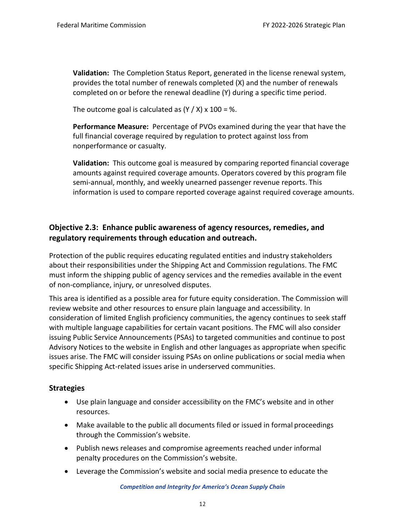**Validation:** The Completion Status Report, generated in the license renewal system, provides the total number of renewals completed (X) and the number of renewals completed on or before the renewal deadline (Y) during a specific time period.

The outcome goal is calculated as  $(Y / X)$  x 100 = %.

**Performance Measure:** Percentage of PVOs examined during the year that have the full financial coverage required by regulation to protect against loss from nonperformance or casualty.

**Validation:** This outcome goal is measured by comparing reported financial coverage amounts against required coverage amounts. Operators covered by this program file semi-annual, monthly, and weekly unearned passenger revenue reports. This information is used to compare reported coverage against required coverage amounts.

## <span id="page-13-0"></span>**Objective 2.3: Enhance public awareness of agency resources, remedies, and regulatory requirements through education and outreach.**

Protection of the public requires educating regulated entities and industry stakeholders about their responsibilities under the Shipping Act and Commission regulations. The FMC must inform the shipping public of agency services and the remedies available in the event of non-compliance, injury, or unresolved disputes.

This area is identified as a possible area for future equity consideration. The Commission will review website and other resources to ensure plain language and accessibility. In consideration of limited English proficiency communities, the agency continues to seek staff with multiple language capabilities for certain vacant positions. The FMC will also consider issuing Public Service Announcements (PSAs) to targeted communities and continue to post Advisory Notices to the website in English and other languages as appropriate when specific issues arise. The FMC will consider issuing PSAs on online publications or social media when specific Shipping Act-related issues arise in underserved communities.

## **Strategies**

- Use plain language and consider accessibility on the FMC's website and in other resources.
- Make available to the public all documents filed or issued in formal proceedings through the Commission's website.
- Publish news releases and compromise agreements reached under informal penalty procedures on the Commission's website.
- Leverage the Commission's website and social media presence to educate the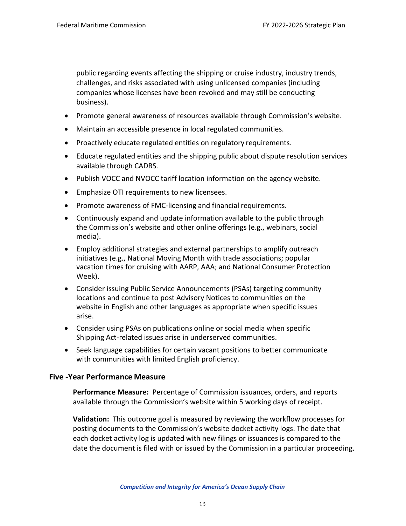public regarding events affecting the shipping or cruise industry, industry trends, challenges, and risks associated with using unlicensed companies (including companies whose licenses have been revoked and may still be conducting business).

- Promote general awareness of resources available through Commission's website.
- Maintain an accessible presence in local regulated communities.
- Proactively educate regulated entities on regulatory requirements.
- Educate regulated entities and the shipping public about dispute resolution services available through CADRS.
- Publish VOCC and NVOCC tariff location information on the agency website.
- Emphasize OTI requirements to new licensees.
- Promote awareness of FMC-licensing and financial requirements.
- Continuously expand and update information available to the public through the Commission's website and other online offerings (e.g., webinars, social media).
- Employ additional strategies and external partnerships to amplify outreach initiatives (e.g., National Moving Month with trade associations; popular vacation times for cruising with AARP, AAA; and National Consumer Protection Week).
- Consider issuing Public Service Announcements (PSAs) targeting community locations and continue to post Advisory Notices to communities on the website in English and other languages as appropriate when specific issues arise.
- Consider using PSAs on publications online or social media when specific Shipping Act-related issues arise in underserved communities.
- Seek language capabilities for certain vacant positions to better communicate with communities with limited English proficiency.

#### **Five -Year Performance Measure**

**Performance Measure:** Percentage of Commission issuances, orders, and reports available through the Commission's website within 5 working days of receipt.

**Validation:** This outcome goal is measured by reviewing the workflow processes for posting documents to the Commission's website docket activity logs. The date that each docket activity log is updated with new filings or issuances is compared to the date the document is filed with or issued by the Commission in a particular proceeding.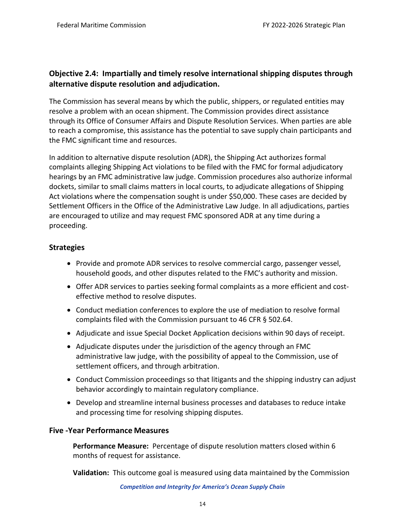## <span id="page-15-0"></span>**Objective 2.4: Impartially and timely resolve international shipping disputes through alternative dispute resolution and adjudication.**

The Commission has several means by which the public, shippers, or regulated entities may resolve a problem with an ocean shipment. The Commission provides direct assistance through its Office of Consumer Affairs and Dispute Resolution Services. When parties are able to reach a compromise, this assistance has the potential to save supply chain participants and the FMC significant time and resources.

In addition to alternative dispute resolution (ADR), the Shipping Act authorizes formal complaints alleging Shipping Act violations to be filed with the FMC for formal adjudicatory hearings by an FMC administrative law judge. Commission procedures also authorize informal dockets, similar to small claims matters in local courts, to adjudicate allegations of Shipping Act violations where the compensation sought is under \$50,000. These cases are decided by Settlement Officers in the Office of the Administrative Law Judge. In all adjudications, parties are encouraged to utilize and may request FMC sponsored ADR at any time during a proceeding.

## **Strategies**

- Provide and promote ADR services to resolve commercial cargo, passenger vessel, household goods, and other disputes related to the FMC's authority and mission.
- Offer ADR services to parties seeking formal complaints as a more efficient and costeffective method to resolve disputes.
- Conduct mediation conferences to explore the use of mediation to resolve formal complaints filed with the Commission pursuant to 46 CFR § 502.64.
- Adjudicate and issue Special Docket Application decisions within 90 days of receipt.
- Adjudicate disputes under the jurisdiction of the agency through an FMC administrative law judge, with the possibility of appeal to the Commission, use of settlement officers, and through arbitration.
- Conduct Commission proceedings so that litigants and the shipping industry can adjust behavior accordingly to maintain regulatory compliance.
- Develop and streamline internal business processes and databases to reduce intake and processing time for resolving shipping disputes.

## **Five -Year Performance Measures**

**Performance Measure:** Percentage of dispute resolution matters closed within 6 months of request for assistance.

**Validation:** This outcome goal is measured using data maintained by the Commission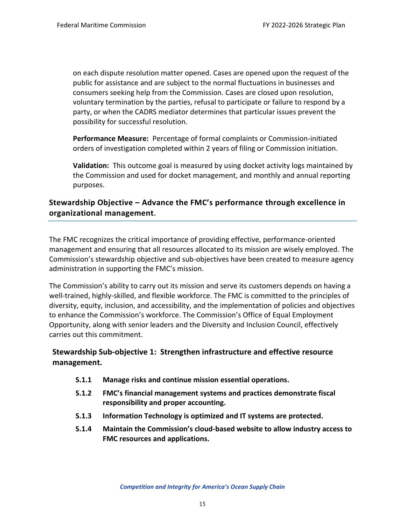on each dispute resolution matter opened. Cases are opened upon the request of the public for assistance and are subject to the normal fluctuations in businesses and consumers seeking help from the Commission. Cases are closed upon resolution, voluntary termination by the parties, refusal to participate or failure to respond by a party, or when the CADRS mediator determines that particular issues prevent the possibility for successful resolution.

**Performance Measure:** Percentage of formal complaints or Commission-initiated orders of investigation completed within 2 years of filing or Commission initiation.

**Validation:** This outcome goal is measured by using docket activity logs maintained by the Commission and used for docket management, and monthly and annual reporting purposes.

## <span id="page-16-0"></span>**Stewardship Objective – Advance the FMC's performance through excellence in organizational management.**

The FMC recognizes the critical importance of providing effective, performance-oriented management and ensuring that all resources allocated to its mission are wisely employed. The Commission's stewardship objective and sub-objectives have been created to measure agency administration in supporting the FMC's mission.

The Commission's ability to carry out its mission and serve its customers depends on having a well-trained, highly-skilled, and flexible workforce. The FMC is committed to the principles of diversity, equity, inclusion, and accessibility, and the implementation of policies and objectives to enhance the Commission's workforce. The Commission's Office of Equal Employment Opportunity, along with senior leaders and the Diversity and Inclusion Council, effectively carries out this commitment.

## <span id="page-16-1"></span>**Stewardship Sub-objective 1: Strengthen infrastructure and effective resource management.**

- **S.1.1 Manage risks and continue mission essential operations.**
- **S.1.2 FMC's financial management systems and practices demonstrate fiscal responsibility and proper accounting.**
- **S.1.3 Information Technology is optimized and IT systems are protected.**
- **S.1.4 Maintain the Commission's cloud-based website to allow industry access to FMC resources and applications.**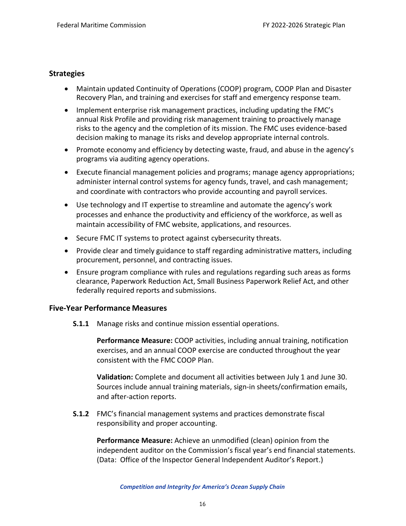## **Strategies**

- Maintain updated Continuity of Operations (COOP) program, COOP Plan and Disaster Recovery Plan, and training and exercises for staff and emergency response team.
- Implement enterprise risk management practices, including updating the FMC's annual Risk Profile and providing risk management training to proactively manage risks to the agency and the completion of its mission. The FMC uses evidence-based decision making to manage its risks and develop appropriate internal controls.
- Promote economy and efficiency by detecting waste, fraud, and abuse in the agency's programs via auditing agency operations.
- Execute financial management policies and programs; manage agency appropriations; administer internal control systems for agency funds, travel, and cash management; and coordinate with contractors who provide accounting and payroll services.
- Use technology and IT expertise to streamline and automate the agency's work processes and enhance the productivity and efficiency of the workforce, as well as maintain accessibility of FMC website, applications, and resources.
- Secure FMC IT systems to protect against cybersecurity threats.
- Provide clear and timely guidance to staff regarding administrative matters, including procurement, personnel, and contracting issues.
- Ensure program compliance with rules and regulations regarding such areas as forms clearance, Paperwork Reduction Act, Small Business Paperwork Relief Act, and other federally required reports and submissions.

#### **Five-Year Performance Measures**

**S.1.1** Manage risks and continue mission essential operations.

**Performance Measure:** COOP activities, including annual training, notification exercises, and an annual COOP exercise are conducted throughout the year consistent with the FMC COOP Plan.

**Validation:** Complete and document all activities between July 1 and June 30. Sources include annual training materials, sign-in sheets/confirmation emails, and after-action reports.

**S.1.2** FMC's financial management systems and practices demonstrate fiscal responsibility and proper accounting.

**Performance Measure:** Achieve an unmodified (clean) opinion from the independent auditor on the Commission's fiscal year's end financial statements. (Data: Office of the Inspector General Independent Auditor's Report.)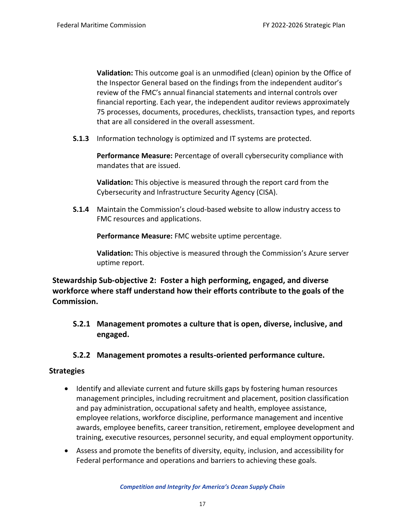**Validation:** This outcome goal is an unmodified (clean) opinion by the Office of the Inspector General based on the findings from the independent auditor's review of the FMC's annual financial statements and internal controls over financial reporting. Each year, the independent auditor reviews approximately 75 processes, documents, procedures, checklists, transaction types, and reports that are all considered in the overall assessment.

**S.1.3** Information technology is optimized and IT systems are protected.

**Performance Measure:** Percentage of overall cybersecurity compliance with mandates that are issued.

**Validation:** This objective is measured through the report card from the Cybersecurity and Infrastructure Security Agency (CISA).

**S.1.4** Maintain the Commission's cloud-based website to allow industry access to FMC resources and applications.

**Performance Measure:** FMC website uptime percentage.

**Validation:** This objective is measured through the Commission's Azure server uptime report.

<span id="page-18-0"></span>**Stewardship Sub-objective 2: Foster a high performing, engaged, and diverse workforce where staff understand how their efforts contribute to the goals of the Commission.**

**S.2.1 Management promotes a culture that is open, diverse, inclusive, and engaged.**

## **S.2.2 Management promotes a results-oriented performance culture.**

## **Strategies**

- Identify and alleviate current and future skills gaps by fostering human resources management principles, including recruitment and placement, position classification and pay administration, occupational safety and health, employee assistance, employee relations, workforce discipline, performance management and incentive awards, employee benefits, career transition, retirement, employee development and training, executive resources, personnel security, and equal employment opportunity.
- Assess and promote the benefits of diversity, equity, inclusion, and accessibility for Federal performance and operations and barriers to achieving these goals.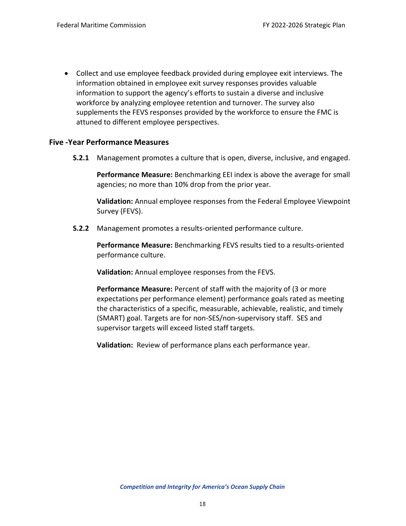• Collect and use employee feedback provided during employee exit interviews. The information obtained in employee exit survey responses provides valuable information to support the agency's efforts to sustain a diverse and inclusive workforce by analyzing employee retention and turnover. The survey also supplements the FEVS responses provided by the workforce to ensure the FMC is attuned to different employee perspectives.

#### **Five -Year Performance Measures**

**S.2.1** Management promotes a culture that is open, diverse, inclusive, and engaged.

**Performance Measure:** Benchmarking EEI index is above the average for small agencies; no more than 10% drop from the prior year.

**Validation:** Annual employee responses from the Federal Employee Viewpoint Survey (FEVS).

**S.2.2** Management promotes a results-oriented performance culture.

**Performance Measure:** Benchmarking FEVS results tied to a results-oriented performance culture.

**Validation:** Annual employee responses from the FEVS.

**Performance Measure:** Percent of staff with the majority of (3 or more expectations per performance element) performance goals rated as meeting the characteristics of a specific, measurable, achievable, realistic, and timely (SMART) goal. Targets are for non-SES/non-supervisory staff. SES and supervisor targets will exceed listed staff targets.

**Validation:** Review of performance plans each performance year.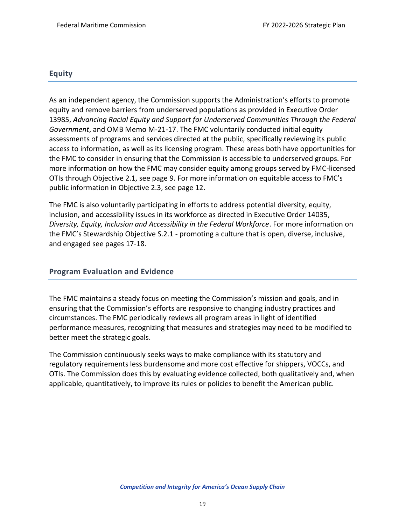#### <span id="page-20-0"></span>**Equity**

As an independent agency, the Commission supports the Administration's efforts to promote equity and remove barriers from underserved populations as provided in Executive Order 13985, *Advancing Racial Equity and Support for Underserved Communities Through the Federal Government*, and OMB Memo M-21-17. The FMC voluntarily conducted initial equity assessments of programs and services directed at the public, specifically reviewing its public access to information, as well as its licensing program. These areas both have opportunities for the FMC to consider in ensuring that the Commission is accessible to underserved groups. For more information on how the FMC may consider equity among groups served by FMC-licensed OTIs through Objective 2.1, see page 9. For more information on equitable access to FMC's public information in Objective 2.3, see page 12.

The FMC is also voluntarily participating in efforts to address potential diversity, equity, inclusion, and accessibility issues in its workforce as directed in Executive Order 14035, *Diversity, Equity, Inclusion and Accessibility in the Federal Workforce*. For more information on the FMC's Stewardship Objective S.2.1 - promoting a culture that is open, diverse, inclusive, and engaged see pages 17-18.

#### <span id="page-20-1"></span>**Program Evaluation and Evidence**

The FMC maintains a steady focus on meeting the Commission's mission and goals, and in ensuring that the Commission's efforts are responsive to changing industry practices and circumstances. The FMC periodically reviews all program areas in light of identified performance measures, recognizing that measures and strategies may need to be modified to better meet the strategic goals.

The Commission continuously seeks ways to make compliance with its statutory and regulatory requirements less burdensome and more cost effective for shippers, VOCCs, and OTIs. The Commission does this by evaluating evidence collected, both qualitatively and, when applicable, quantitatively, to improve its rules or policies to benefit the American public.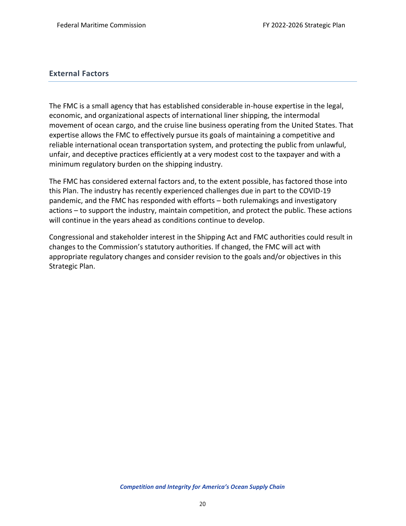#### <span id="page-21-0"></span>**External Factors**

The FMC is a small agency that has established considerable in-house expertise in the legal, economic, and organizational aspects of international liner shipping, the intermodal movement of ocean cargo, and the cruise line business operating from the United States. That expertise allows the FMC to effectively pursue its goals of maintaining a competitive and reliable international ocean transportation system, and protecting the public from unlawful, unfair, and deceptive practices efficiently at a very modest cost to the taxpayer and with a minimum regulatory burden on the shipping industry.

The FMC has considered external factors and, to the extent possible, has factored those into this Plan. The industry has recently experienced challenges due in part to the COVID-19 pandemic, and the FMC has responded with efforts – both rulemakings and investigatory actions – to support the industry, maintain competition, and protect the public. These actions will continue in the years ahead as conditions continue to develop.

Congressional and stakeholder interest in the Shipping Act and FMC authorities could result in changes to the Commission's statutory authorities. If changed, the FMC will act with appropriate regulatory changes and consider revision to the goals and/or objectives in this Strategic Plan.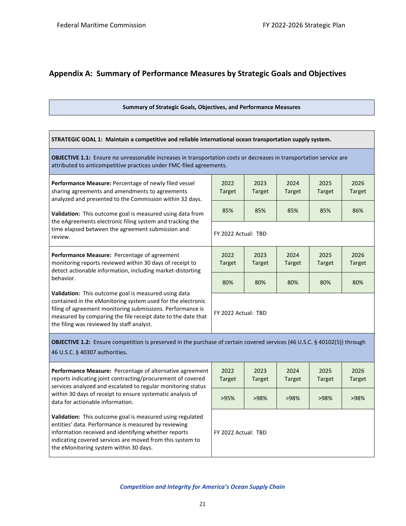## <span id="page-22-0"></span>**Appendix A: Summary of Performance Measures by Strategic Goals and Objectives**

#### **Summary of Strategic Goals, Objectives, and Performance Measures**

| STRATEGIC GOAL 1: Maintain a competitive and reliable international ocean transportation supply system.                                                                                                                                                                                        |                       |                       |                       |                |                       |  |  |
|------------------------------------------------------------------------------------------------------------------------------------------------------------------------------------------------------------------------------------------------------------------------------------------------|-----------------------|-----------------------|-----------------------|----------------|-----------------------|--|--|
| OBJECTIVE 1.1: Ensure no unreasonable increases in transportation costs or decreases in transportation service are<br>attributed to anticompetitive practices under FMC-filed agreements.                                                                                                      |                       |                       |                       |                |                       |  |  |
| Performance Measure: Percentage of newly filed vessel<br>sharing agreements and amendments to agreements<br>analyzed and presented to the Commission within 32 days.                                                                                                                           | 2022<br><b>Target</b> | 2023<br>Target        | 2024<br><b>Target</b> | 2025<br>Target | 2026<br><b>Target</b> |  |  |
| Validation: This outcome goal is measured using data from                                                                                                                                                                                                                                      | 85%                   | 85%                   | 85%                   | 85%            | 86%                   |  |  |
| the eAgreements electronic filing system and tracking the<br>time elapsed between the agreement submission and<br>review.                                                                                                                                                                      | FY 2022 Actual: TBD   |                       |                       |                |                       |  |  |
| Performance Measure: Percentage of agreement<br>monitoring reports reviewed within 30 days of receipt to<br>detect actionable information, including market-distorting                                                                                                                         | 2022<br><b>Target</b> | 2023<br><b>Target</b> | 2024<br><b>Target</b> | 2025<br>Target | 2026<br><b>Target</b> |  |  |
| behavior.                                                                                                                                                                                                                                                                                      | 80%                   | 80%                   | 80%                   | 80%            | 80%                   |  |  |
| Validation: This outcome goal is measured using data<br>contained in the eMonitoring system used for the electronic<br>filing of agreement monitoring submissions. Performance is<br>measured by comparing the file receipt date to the date that<br>the filing was reviewed by staff analyst. | FY 2022 Actual: TBD   |                       |                       |                |                       |  |  |
| OBJECTIVE 1.2: Ensure competition is preserved in the purchase of certain covered services (46 U.S.C. § 40102(5)) through<br>46 U.S.C. § 40307 authorities.                                                                                                                                    |                       |                       |                       |                |                       |  |  |
| <b>Performance Measure:</b> Percentage of alternative agreement<br>reports indicating joint contracting/procurement of covered<br>services analyzed and escalated to regular monitoring status                                                                                                 | 2022<br>Target        | 2023<br>Target        | 2024<br><b>Target</b> | 2025<br>Target | 2026<br><b>Target</b> |  |  |
| within 30 days of receipt to ensure systematic analysis of<br>data for actionable information.                                                                                                                                                                                                 | >95%                  | >98%                  | >98%                  | >98%           | >98%                  |  |  |
| Validation: This outcome goal is measured using regulated<br>entities' data. Performance is measured by reviewing<br>information received and identifying whether reports<br>indicating covered services are moved from this system to<br>the eMonitoring system within 30 days.               | FY 2022 Actual: TBD   |                       |                       |                |                       |  |  |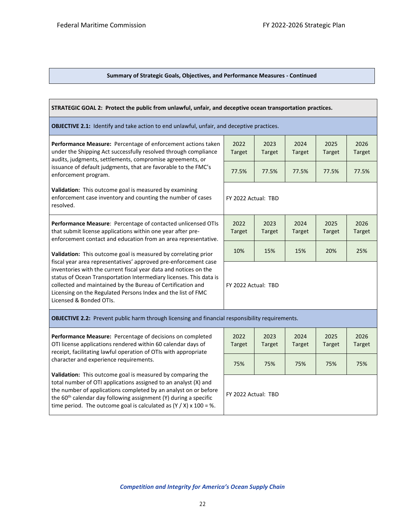#### **Summary of Strategic Goals, Objectives, and Performance Measures - Continued**

| STRATEGIC GOAL 2: Protect the public from unlawful, unfair, and deceptive ocean transportation practices.                                                                                                                                                                                                                                                           |                       |                       |                       |                       |                       |  |
|---------------------------------------------------------------------------------------------------------------------------------------------------------------------------------------------------------------------------------------------------------------------------------------------------------------------------------------------------------------------|-----------------------|-----------------------|-----------------------|-----------------------|-----------------------|--|
| <b>OBJECTIVE 2.1:</b> Identify and take action to end unlawful, unfair, and deceptive practices.                                                                                                                                                                                                                                                                    |                       |                       |                       |                       |                       |  |
| Performance Measure: Percentage of enforcement actions taken<br>under the Shipping Act successfully resolved through compliance<br>audits, judgments, settlements, compromise agreements, or                                                                                                                                                                        | 2022<br><b>Target</b> | 2023<br><b>Target</b> | 2024<br><b>Target</b> | 2025<br><b>Target</b> | 2026<br><b>Target</b> |  |
| issuance of default judgments, that are favorable to the FMC's<br>enforcement program.                                                                                                                                                                                                                                                                              | 77.5%                 | 77.5%                 | 77.5%                 | 77.5%                 | 77.5%                 |  |
| Validation: This outcome goal is measured by examining<br>enforcement case inventory and counting the number of cases<br>resolved.                                                                                                                                                                                                                                  | FY 2022 Actual: TBD   |                       |                       |                       |                       |  |
| Performance Measure: Percentage of contacted unlicensed OTIs<br>that submit license applications within one year after pre-<br>enforcement contact and education from an area representative.                                                                                                                                                                       | 2022<br><b>Target</b> | 2023<br><b>Target</b> | 2024<br><b>Target</b> | 2025<br><b>Target</b> | 2026<br><b>Target</b> |  |
| Validation: This outcome goal is measured by correlating prior                                                                                                                                                                                                                                                                                                      | 10%                   | 15%                   | 15%                   | 20%                   | 25%                   |  |
| fiscal year area representatives' approved pre-enforcement case<br>inventories with the current fiscal year data and notices on the<br>status of Ocean Transportation Intermediary licenses. This data is<br>collected and maintained by the Bureau of Certification and<br>Licensing on the Regulated Persons Index and the list of FMC<br>Licensed & Bonded OTIs. |                       | FY 2022 Actual: TBD   |                       |                       |                       |  |
| OBJECTIVE 2.2: Prevent public harm through licensing and financial responsibility requirements.                                                                                                                                                                                                                                                                     |                       |                       |                       |                       |                       |  |
| Performance Measure: Percentage of decisions on completed<br>OTI license applications rendered within 60 calendar days of<br>receipt, facilitating lawful operation of OTIs with appropriate<br>character and experience requirements.                                                                                                                              |                       | 2023<br><b>Target</b> | 2024<br><b>Target</b> | 2025<br><b>Target</b> | 2026<br><b>Target</b> |  |
|                                                                                                                                                                                                                                                                                                                                                                     |                       | 75%                   | 75%                   | 75%                   | 75%                   |  |
| Validation: This outcome goal is measured by comparing the<br>total number of OTI applications assigned to an analyst (X) and<br>the number of applications completed by an analyst on or before<br>the 60 <sup>th</sup> calendar day following assignment (Y) during a specific<br>time period. The outcome goal is calculated as $(Y / X)$ x 100 = %.             |                       | FY 2022 Actual: TBD   |                       |                       |                       |  |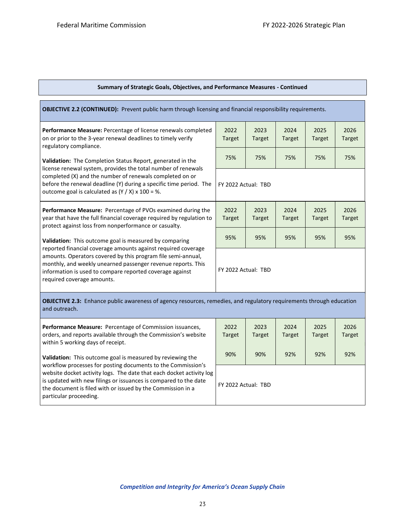| <b>Summary of Strategic Goals, Objectives, and Performance Measures - Continued</b> |  |  |
|-------------------------------------------------------------------------------------|--|--|
|                                                                                     |  |  |

| <b>OBJECTIVE 2.2 (CONTINUED):</b> Prevent public harm through licensing and financial responsibility requirements.                                                                                                                                                                      |                |                       |                       |                       |                |  |  |
|-----------------------------------------------------------------------------------------------------------------------------------------------------------------------------------------------------------------------------------------------------------------------------------------|----------------|-----------------------|-----------------------|-----------------------|----------------|--|--|
| <b>Performance Measure:</b> Percentage of license renewals completed<br>on or prior to the 3-year renewal deadlines to timely verify<br>regulatory compliance.                                                                                                                          | 2022<br>Target | 2023<br><b>Target</b> | 2024<br><b>Target</b> | 2025<br><b>Target</b> | 2026<br>Target |  |  |
| Validation: The Completion Status Report, generated in the                                                                                                                                                                                                                              | 75%            | 75%                   | 75%                   | 75%                   | 75%            |  |  |
| license renewal system, provides the total number of renewals<br>completed (X) and the number of renewals completed on or<br>before the renewal deadline (Y) during a specific time period. The<br>outcome goal is calculated as $(Y / X)$ x 100 = %.                                   |                | FY 2022 Actual: TBD   |                       |                       |                |  |  |
| <b>Performance Measure:</b> Percentage of PVOs examined during the<br>year that have the full financial coverage required by regulation to<br>protect against loss from nonperformance or casualty.                                                                                     | 2022<br>Target | 2023<br><b>Target</b> | 2024<br>Target        | 2025<br><b>Target</b> | 2026<br>Target |  |  |
| Validation: This outcome goal is measured by comparing                                                                                                                                                                                                                                  | 95%            | 95%                   | 95%                   | 95%                   | 95%            |  |  |
| reported financial coverage amounts against required coverage<br>amounts. Operators covered by this program file semi-annual,<br>monthly, and weekly unearned passenger revenue reports. This<br>information is used to compare reported coverage against<br>required coverage amounts. |                | FY 2022 Actual: TBD   |                       |                       |                |  |  |
| <b>OBJECTIVE 2.3:</b> Enhance public awareness of agency resources, remedies, and regulatory requirements through education<br>and outreach.                                                                                                                                            |                |                       |                       |                       |                |  |  |
| Performance Measure: Percentage of Commission issuances,                                                                                                                                                                                                                                | 2022           | 2023                  | 2024                  | 2025                  | 2026           |  |  |

orders, and reports available through the Commission's website within 5 working days of receipt.

**Validation:** This outcome goal is measured by reviewing the workflow processes for posting documents to the Commission's website docket activity logs. The date that each docket activity log is updated with new filings or issuances is compared to the date the document is filed with or issued by the Commission in a particular proceeding.

| 2022<br><b>Target</b> | 2023<br><b>Target</b> | 2024<br><b>Target</b> | 2025<br><b>Target</b> | 2026<br><b>Target</b> |  |  |  |  |
|-----------------------|-----------------------|-----------------------|-----------------------|-----------------------|--|--|--|--|
| 90%                   | 90%<br>92%            |                       | 92%                   | 92%                   |  |  |  |  |
| FY 2022 Actual: TBD   |                       |                       |                       |                       |  |  |  |  |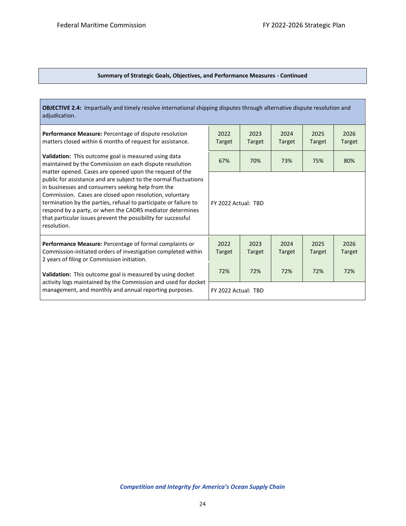Ĩ.

#### **Summary of Strategic Goals, Objectives, and Performance Measures - Continued**

| <b>OBJECTIVE 2.4:</b> Impartially and timely resolve international shipping disputes through alternative dispute resolution and<br>adjudication.                                                                                                                                                                                                                                                                                                                                                                                                                                |                       |                       |                |                       |                |  |
|---------------------------------------------------------------------------------------------------------------------------------------------------------------------------------------------------------------------------------------------------------------------------------------------------------------------------------------------------------------------------------------------------------------------------------------------------------------------------------------------------------------------------------------------------------------------------------|-----------------------|-----------------------|----------------|-----------------------|----------------|--|
| <b>Performance Measure: Percentage of dispute resolution</b><br>matters closed within 6 months of request for assistance.                                                                                                                                                                                                                                                                                                                                                                                                                                                       | 2022<br><b>Target</b> | 2023<br>Target        | 2024<br>Target | 2025<br><b>Target</b> | 2026<br>Target |  |
| Validation: This outcome goal is measured using data<br>maintained by the Commission on each dispute resolution<br>matter opened. Cases are opened upon the request of the<br>public for assistance and are subject to the normal fluctuations<br>in businesses and consumers seeking help from the<br>Commission. Cases are closed upon resolution, voluntary<br>termination by the parties, refusal to participate or failure to<br>respond by a party, or when the CADRS mediator determines<br>that particular issues prevent the possibility for successful<br>resolution. | 67%                   | 70%                   | 73%            | 75%                   | 80%            |  |
|                                                                                                                                                                                                                                                                                                                                                                                                                                                                                                                                                                                 | FY 2022 Actual: TBD   |                       |                |                       |                |  |
| Performance Measure: Percentage of formal complaints or<br>Commission-initiated orders of investigation completed within<br>2 years of filing or Commission initiation.                                                                                                                                                                                                                                                                                                                                                                                                         | 2022<br><b>Target</b> | 2023<br><b>Target</b> | 2024<br>Target | 2025<br><b>Target</b> | 2026<br>Target |  |
| Validation: This outcome goal is measured by using docket<br>activity logs maintained by the Commission and used for docket<br>management, and monthly and annual reporting purposes.                                                                                                                                                                                                                                                                                                                                                                                           | 72%                   | 72%                   | 72%            | 72%                   | 72%            |  |
|                                                                                                                                                                                                                                                                                                                                                                                                                                                                                                                                                                                 | FY 2022 Actual: TBD   |                       |                |                       |                |  |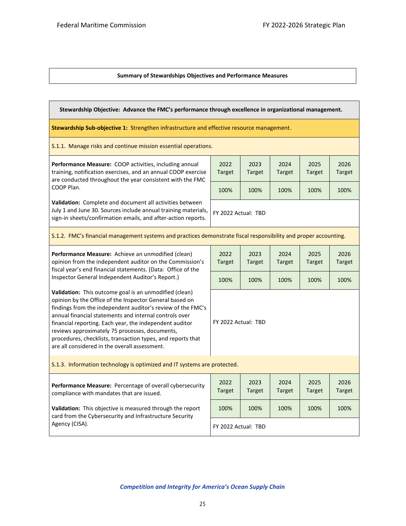#### **Summary of Stewardships Objectives and Performance Measures**

| Stewardship Objective: Advance the FMC's performance through excellence in organizational management.                                                                                                                                                                                                                                                                                                                                                                   |                       |                       |                       |                       |                       |  |  |
|-------------------------------------------------------------------------------------------------------------------------------------------------------------------------------------------------------------------------------------------------------------------------------------------------------------------------------------------------------------------------------------------------------------------------------------------------------------------------|-----------------------|-----------------------|-----------------------|-----------------------|-----------------------|--|--|
| Stewardship Sub-objective 1: Strengthen infrastructure and effective resource management.                                                                                                                                                                                                                                                                                                                                                                               |                       |                       |                       |                       |                       |  |  |
| S.1.1. Manage risks and continue mission essential operations.                                                                                                                                                                                                                                                                                                                                                                                                          |                       |                       |                       |                       |                       |  |  |
| Performance Measure: COOP activities, including annual<br>training, notification exercises, and an annual COOP exercise<br>are conducted throughout the year consistent with the FMC                                                                                                                                                                                                                                                                                    | 2022<br><b>Target</b> | 2023<br><b>Target</b> | 2024<br><b>Target</b> | 2025<br><b>Target</b> | 2026<br><b>Target</b> |  |  |
| COOP Plan.                                                                                                                                                                                                                                                                                                                                                                                                                                                              | 100%                  | 100%                  | 100%                  | 100%                  | 100%                  |  |  |
| Validation: Complete and document all activities between<br>July 1 and June 30. Sources include annual training materials,<br>sign-in sheets/confirmation emails, and after-action reports.                                                                                                                                                                                                                                                                             | FY 2022 Actual: TBD   |                       |                       |                       |                       |  |  |
| S.1.2. FMC's financial management systems and practices demonstrate fiscal responsibility and proper accounting.                                                                                                                                                                                                                                                                                                                                                        |                       |                       |                       |                       |                       |  |  |
| Performance Measure: Achieve an unmodified (clean)<br>opinion from the independent auditor on the Commission's<br>fiscal year's end financial statements. (Data: Office of the<br>Inspector General Independent Auditor's Report.)                                                                                                                                                                                                                                      | 2022<br><b>Target</b> | 2023<br><b>Target</b> | 2024<br><b>Target</b> | 2025<br><b>Target</b> | 2026<br><b>Target</b> |  |  |
|                                                                                                                                                                                                                                                                                                                                                                                                                                                                         | 100%                  | 100%                  | 100%                  | 100%                  | 100%                  |  |  |
| Validation: This outcome goal is an unmodified (clean)<br>opinion by the Office of the Inspector General based on<br>findings from the independent auditor's review of the FMC's<br>annual financial statements and internal controls over<br>financial reporting. Each year, the independent auditor<br>reviews approximately 75 processes, documents,<br>procedures, checklists, transaction types, and reports that<br>are all considered in the overall assessment. | FY 2022 Actual: TBD   |                       |                       |                       |                       |  |  |
| S.1.3. Information technology is optimized and IT systems are protected.                                                                                                                                                                                                                                                                                                                                                                                                |                       |                       |                       |                       |                       |  |  |
| Performance Measure: Percentage of overall cybersecurity<br>compliance with mandates that are issued.                                                                                                                                                                                                                                                                                                                                                                   | 2022<br><b>Target</b> | 2023<br><b>Target</b> | 2024<br>Target        | 2025<br><b>Target</b> | 2026<br><b>Target</b> |  |  |
| Validation: This objective is measured through the report<br>card from the Cybersecurity and Infrastructure Security<br>Agency (CISA).                                                                                                                                                                                                                                                                                                                                  | 100%                  | 100%                  | 100%                  | 100%                  | 100%                  |  |  |
|                                                                                                                                                                                                                                                                                                                                                                                                                                                                         | FY 2022 Actual: TBD   |                       |                       |                       |                       |  |  |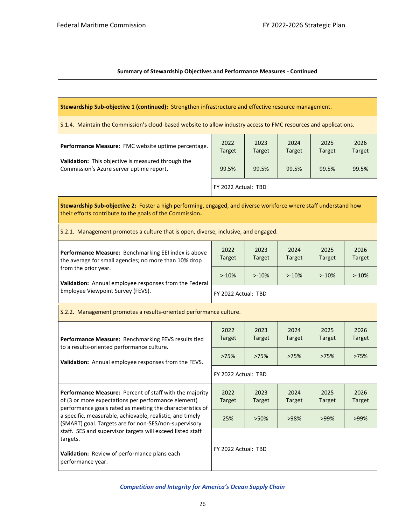#### **Summary of Stewardship Objectives and Performance Measures - Continued**

| Stewardship Sub-objective 1 (continued): Strengthen infrastructure and effective resource management.                                                                                           |                       |                       |                       |                       |                       |  |  |
|-------------------------------------------------------------------------------------------------------------------------------------------------------------------------------------------------|-----------------------|-----------------------|-----------------------|-----------------------|-----------------------|--|--|
| S.1.4. Maintain the Commission's cloud-based website to allow industry access to FMC resources and applications.                                                                                |                       |                       |                       |                       |                       |  |  |
| Performance Measure: FMC website uptime percentage.                                                                                                                                             | 2022<br><b>Target</b> | 2023<br><b>Target</b> | 2024<br><b>Target</b> | 2025<br><b>Target</b> | 2026<br><b>Target</b> |  |  |
| Validation: This objective is measured through the<br>Commission's Azure server uptime report.                                                                                                  | 99.5%                 | 99.5%                 | 99.5%                 | 99.5%                 | 99.5%                 |  |  |
|                                                                                                                                                                                                 | FY 2022 Actual: TBD   |                       |                       |                       |                       |  |  |
| Stewardship Sub-objective 2: Foster a high performing, engaged, and diverse workforce where staff understand how<br>their efforts contribute to the goals of the Commission.                    |                       |                       |                       |                       |                       |  |  |
| S.2.1. Management promotes a culture that is open, diverse, inclusive, and engaged.                                                                                                             |                       |                       |                       |                       |                       |  |  |
| Performance Measure: Benchmarking EEI index is above<br>the average for small agencies; no more than 10% drop<br>from the prior year.<br>Validation: Annual employee responses from the Federal | 2022<br><b>Target</b> | 2023<br><b>Target</b> | 2024<br><b>Target</b> | 2025<br><b>Target</b> | 2026<br><b>Target</b> |  |  |
|                                                                                                                                                                                                 | $> -10%$              | $>10\%$               | $>10\%$               | $>10\%$               | $>10\%$               |  |  |
| Employee Viewpoint Survey (FEVS).                                                                                                                                                               | FY 2022 Actual: TBD   |                       |                       |                       |                       |  |  |
| S.2.2. Management promotes a results-oriented performance culture.                                                                                                                              |                       |                       |                       |                       |                       |  |  |
| Performance Measure: Benchmarking FEVS results tied<br>to a results-oriented performance culture.                                                                                               | 2022<br><b>Target</b> | 2023<br><b>Target</b> | 2024<br><b>Target</b> | 2025<br>Target        | 2026<br><b>Target</b> |  |  |
| Validation: Annual employee responses from the FEVS.                                                                                                                                            | >75%                  | >75%                  | >75%                  | >75%                  | >75%                  |  |  |
|                                                                                                                                                                                                 | FY 2022 Actual: TBD   |                       |                       |                       |                       |  |  |
| Performance Measure: Percent of staff with the majority<br>of (3 or more expectations per performance element)<br>performance goals rated as meeting the characteristics of                     | 2022<br><b>Target</b> | 2023<br><b>Target</b> | 2024<br><b>Target</b> | 2025<br><b>Target</b> | 2026<br><b>Target</b> |  |  |
| a specific, measurable, achievable, realistic, and timely<br>(SMART) goal. Targets are for non-SES/non-supervisory                                                                              | 25%                   | >50%                  | >98%                  | >99%                  | $>99\%$               |  |  |
| staff. SES and supervisor targets will exceed listed staff<br>targets.                                                                                                                          |                       |                       |                       |                       |                       |  |  |
| Validation: Review of performance plans each<br>performance year.                                                                                                                               | FY 2022 Actual: TBD   |                       |                       |                       |                       |  |  |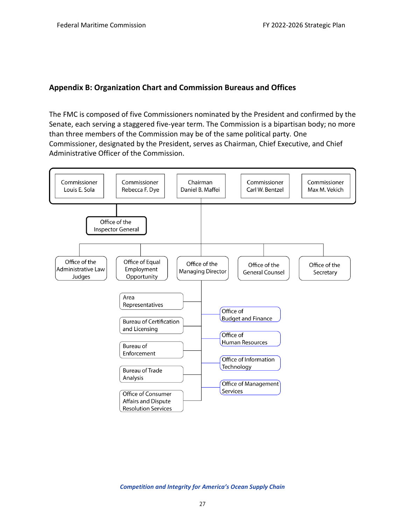## <span id="page-28-0"></span>**Appendix B: Organization Chart and Commission Bureaus and Offices**

The FMC is composed of five Commissioners nominated by the President and confirmed by the Senate, each serving a staggered five-year term. The Commission is a bipartisan body; no more than three members of the Commission may be of the same political party. One Commissioner, designated by the President, serves as Chairman, Chief Executive, and Chief Administrative Officer of the Commission.

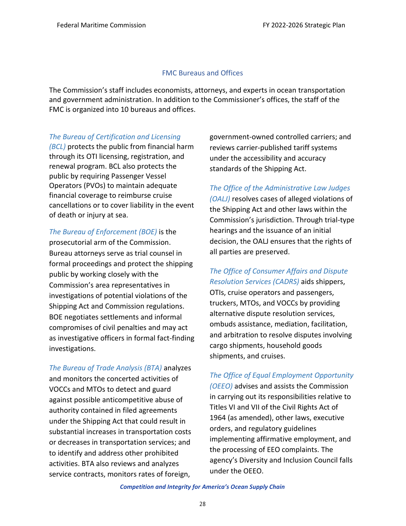## FMC Bureaus and Offices

The Commission's staff includes economists, attorneys, and experts in ocean transportation and government administration. In addition to the Commissioner's offices, the staff of the FMC is organized into 10 bureaus and offices.

## *The Bureau of Certification and Licensing*

*(BCL)* protects the public from financial harm through its OTI licensing, registration, and renewal program. BCL also protects the public by requiring Passenger Vessel Operators (PVOs) to maintain adequate financial coverage to reimburse cruise cancellations or to cover liability in the event of death or injury at sea.

*The Bureau of Enforcement (BOE)* is the prosecutorial arm of the Commission. Bureau attorneys serve as trial counsel in formal proceedings and protect the shipping public by working closely with the Commission's area representatives in investigations of potential violations of the Shipping Act and Commission regulations. BOE negotiates settlements and informal compromises of civil penalties and may act as investigative officers in formal fact-finding investigations.

*The Bureau of Trade Analysis (BTA)* analyzes and monitors the concerted activities of VOCCs and MTOs to detect and guard against possible anticompetitive abuse of authority contained in filed agreements under the Shipping Act that could result in substantial increases in transportation costs or decreases in transportation services; and to identify and address other prohibited activities. BTA also reviews and analyzes service contracts, monitors rates of foreign,

government-owned controlled carriers; and reviews carrier-published tariff systems under the accessibility and accuracy standards of the Shipping Act.

## *The Office of the Administrative Law Judges*

*(OALJ)* resolves cases of alleged violations of the Shipping Act and other laws within the Commission's jurisdiction. Through trial-type hearings and the issuance of an initial decision, the OALJ ensures that the rights of all parties are preserved.

## *The Office of Consumer Affairs and Dispute Resolution Services (CADRS)* aids shippers,

OTIs, cruise operators and passengers, truckers, MTOs, and VOCCs by providing alternative dispute resolution services, ombuds assistance, mediation, facilitation, and arbitration to resolve disputes involving cargo shipments, household goods shipments, and cruises.

## *The Office of Equal Employment Opportunity*

*(OEEO)* advises and assists the Commission in carrying out its responsibilities relative to Titles VI and VII of the Civil Rights Act of 1964 (as amended), other laws, executive orders, and regulatory guidelines implementing affirmative employment, and the processing of EEO complaints. The agency's Diversity and Inclusion Council falls under the OEEO.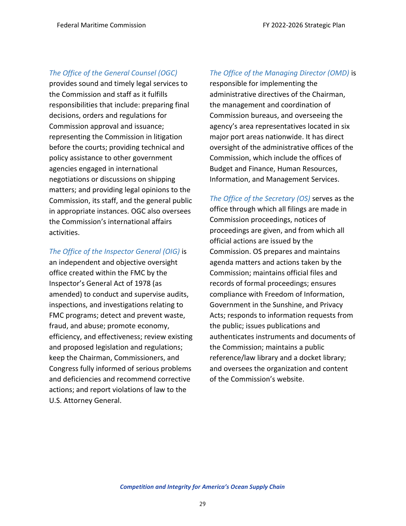## *The Office of the General Counsel (OGC)*

provides sound and timely legal services to the Commission and staff as it fulfills responsibilities that include: preparing final decisions, orders and regulations for Commission approval and issuance; representing the Commission in litigation before the courts; providing technical and policy assistance to other government agencies engaged in international negotiations or discussions on shipping matters; and providing legal opinions to the Commission, its staff, and the general public in appropriate instances. OGC also oversees the Commission's international affairs activities.

#### *The Office of the Inspector General (OIG)* is

an independent and objective oversight office created within the FMC by the Inspector's General Act of 1978 (as amended) to conduct and supervise audits, inspections, and investigations relating to FMC programs; detect and prevent waste, fraud, and abuse; promote economy, efficiency, and effectiveness; review existing and proposed legislation and regulations; keep the Chairman, Commissioners, and Congress fully informed of serious problems and deficiencies and recommend corrective actions; and report violations of law to the U.S. Attorney General.

## *The Office of the Managing Director (OMD)* is

responsible for implementing the administrative directives of the Chairman, the management and coordination of Commission bureaus, and overseeing the agency's area representatives located in six major port areas nationwide. It has direct oversight of the administrative offices of the Commission, which include the offices of Budget and Finance, Human Resources, Information, and Management Services.

*The Office of the Secretary (OS)* serves as the office through which all filings are made in Commission proceedings, notices of proceedings are given, and from which all official actions are issued by the Commission. OS prepares and maintains agenda matters and actions taken by the Commission; maintains official files and records of formal proceedings; ensures compliance with Freedom of Information, Government in the Sunshine, and Privacy Acts; responds to information requests from the public; issues publications and authenticates instruments and documents of the Commission; maintains a public reference/law library and a docket library; and oversees the organization and content of the Commission's website.